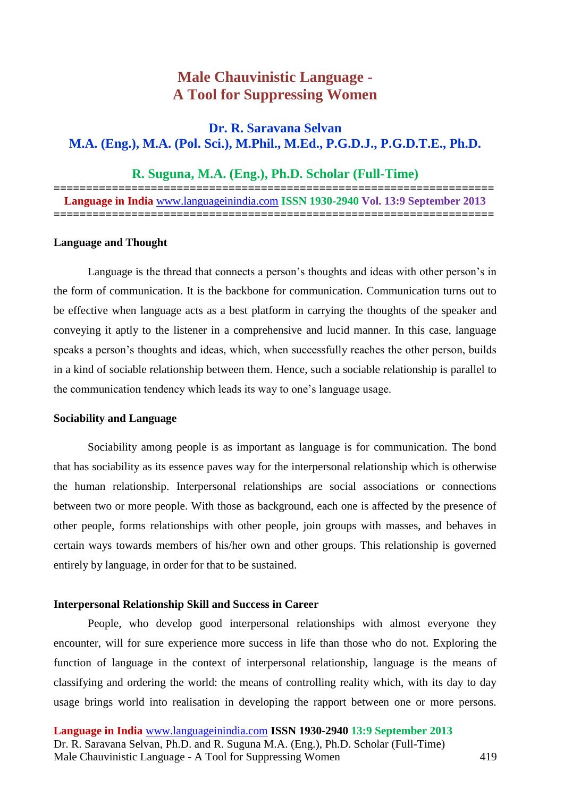# **Male Chauvinistic Language - A Tool for Suppressing Women**

# **Dr. R. Saravana Selvan M.A. (Eng.), M.A. (Pol. Sci.), M.Phil., M.Ed., P.G.D.J., P.G.D.T.E., Ph.D.**

# **R. Suguna, M.A. (Eng.), Ph.D. Scholar (Full-Time)**

**====================================================================**

**Language in India** [www.languageinindia.com](http://www.languageinindia.com/) **ISSN 1930-2940 Vol. 13:9 September 2013 ====================================================================**

#### **Language and Thought**

Language is the thread that connects a person's thoughts and ideas with other person's in the form of communication. It is the backbone for communication. Communication turns out to be effective when language acts as a best platform in carrying the thoughts of the speaker and conveying it aptly to the listener in a comprehensive and lucid manner. In this case, language speaks a person's thoughts and ideas, which, when successfully reaches the other person, builds in a kind of sociable relationship between them. Hence, such a sociable relationship is parallel to the communication tendency which leads its way to one's language usage.

#### **Sociability and Language**

Sociability among people is as important as language is for communication. The bond that has sociability as its essence paves way for the interpersonal relationship which is otherwise the human relationship. Interpersonal relationships are social associations or connections between two or more people. With those as background, each one is affected by the presence of other people, forms relationships with other people, join groups with masses, and behaves in certain ways towards members of his/her own and other groups. This relationship is governed entirely by language, in order for that to be sustained.

#### **Interpersonal Relationship Skill and Success in Career**

People, who develop good interpersonal relationships with almost everyone they encounter, will for sure experience more success in life than those who do not. Exploring the function of language in the context of interpersonal relationship, language is the means of classifying and ordering the world: the means of controlling reality which, with its day to day usage brings world into realisation in developing the rapport between one or more persons.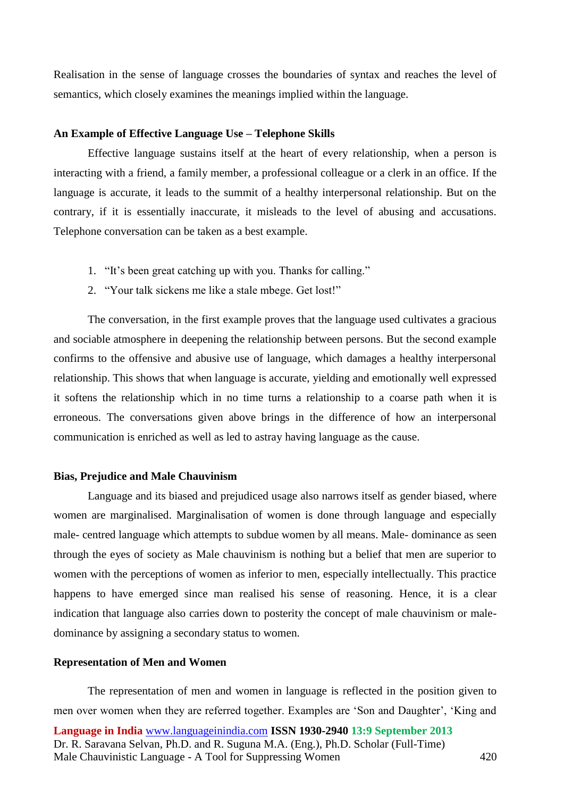Realisation in the sense of language crosses the boundaries of syntax and reaches the level of semantics, which closely examines the meanings implied within the language.

#### **An Example of Effective Language Use – Telephone Skills**

Effective language sustains itself at the heart of every relationship, when a person is interacting with a friend, a family member, a professional colleague or a clerk in an office. If the language is accurate, it leads to the summit of a healthy interpersonal relationship. But on the contrary, if it is essentially inaccurate, it misleads to the level of abusing and accusations. Telephone conversation can be taken as a best example.

- 1. "It's been great catching up with you. Thanks for calling."
- 2. "Your talk sickens me like a stale mbege. Get lost!"

The conversation, in the first example proves that the language used cultivates a gracious and sociable atmosphere in deepening the relationship between persons. But the second example confirms to the offensive and abusive use of language, which damages a healthy interpersonal relationship. This shows that when language is accurate, yielding and emotionally well expressed it softens the relationship which in no time turns a relationship to a coarse path when it is erroneous. The conversations given above brings in the difference of how an interpersonal communication is enriched as well as led to astray having language as the cause.

#### **Bias, Prejudice and Male Chauvinism**

Language and its biased and prejudiced usage also narrows itself as gender biased, where women are marginalised. Marginalisation of women is done through language and especially male- centred language which attempts to subdue women by all means. Male- dominance as seen through the eyes of society as Male chauvinism is nothing but a belief that men are superior to women with the perceptions of women as inferior to men, especially intellectually. This practice happens to have emerged since man realised his sense of reasoning. Hence, it is a clear indication that language also carries down to posterity the concept of male chauvinism or maledominance by assigning a secondary status to women.

## **Representation of Men and Women**

**Language in India** [www.languageinindia.com](http://www.languageinindia.com/) **ISSN 1930-2940 13:9 September 2013** Dr. R. Saravana Selvan, Ph.D. and R. Suguna M.A. (Eng.), Ph.D. Scholar (Full-Time) Male Chauvinistic Language - A Tool for Suppressing Women 420 The representation of men and women in language is reflected in the position given to men over women when they are referred together. Examples are 'Son and Daughter', 'King and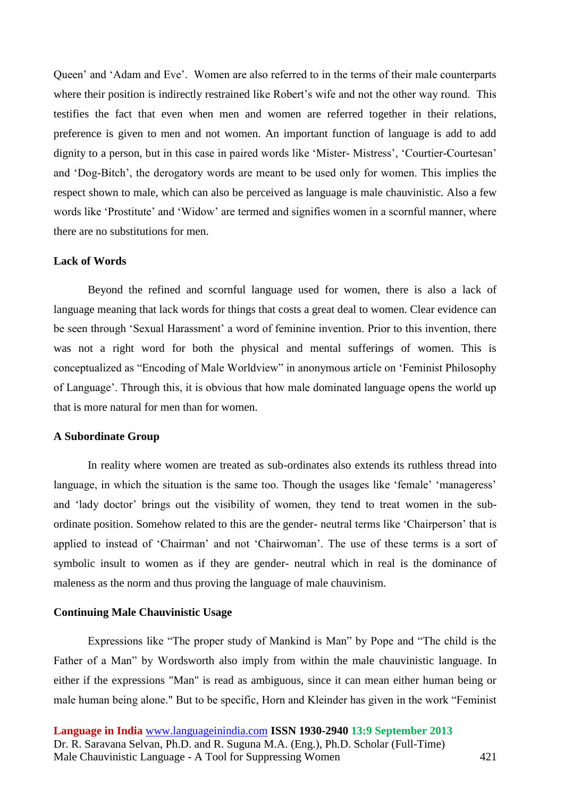Queen' and 'Adam and Eve'. Women are also referred to in the terms of their male counterparts where their position is indirectly restrained like Robert's wife and not the other way round. This testifies the fact that even when men and women are referred together in their relations, preference is given to men and not women. An important function of language is add to add dignity to a person, but in this case in paired words like 'Mister- Mistress', 'Courtier-Courtesan' and 'Dog-Bitch', the derogatory words are meant to be used only for women. This implies the respect shown to male, which can also be perceived as language is male chauvinistic. Also a few words like 'Prostitute' and 'Widow' are termed and signifies women in a scornful manner, where there are no substitutions for men.

#### **Lack of Words**

Beyond the refined and scornful language used for women, there is also a lack of language meaning that lack words for things that costs a great deal to women. Clear evidence can be seen through 'Sexual Harassment' a word of feminine invention. Prior to this invention, there was not a right word for both the physical and mental sufferings of women. This is conceptualized as "Encoding of Male Worldview" in anonymous article on 'Feminist Philosophy of Language'. Through this, it is obvious that how male dominated language opens the world up that is more natural for men than for women.

## **A Subordinate Group**

In reality where women are treated as sub-ordinates also extends its ruthless thread into language, in which the situation is the same too. Though the usages like 'female' 'manageress' and 'lady doctor' brings out the visibility of women, they tend to treat women in the subordinate position. Somehow related to this are the gender- neutral terms like 'Chairperson' that is applied to instead of 'Chairman' and not 'Chairwoman'. The use of these terms is a sort of symbolic insult to women as if they are gender- neutral which in real is the dominance of maleness as the norm and thus proving the language of male chauvinism.

#### **Continuing Male Chauvinistic Usage**

Expressions like "The proper study of Mankind is Man" by Pope and "The child is the Father of a Man" by Wordsworth also imply from within the male chauvinistic language. In either if the expressions "Man" is read as ambiguous, since it can mean either human being or male human being alone." But to be specific, Horn and Kleinder has given in the work "Feminist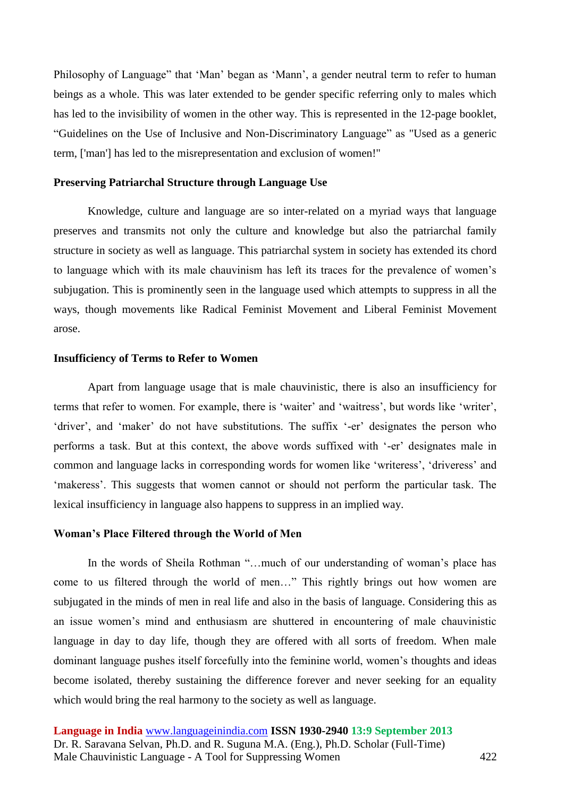Philosophy of Language" that 'Man' began as 'Mann', a gender neutral term to refer to human beings as a whole. This was later extended to be gender specific referring only to males which has led to the invisibility of women in the other way. This is represented in the 12-page booklet, "Guidelines on the Use of Inclusive and Non-Discriminatory Language" as "Used as a generic term, ['man'] has led to the misrepresentation and exclusion of women!"

# **Preserving Patriarchal Structure through Language Use**

Knowledge, culture and language are so inter-related on a myriad ways that language preserves and transmits not only the culture and knowledge but also the patriarchal family structure in society as well as language. This patriarchal system in society has extended its chord to language which with its male chauvinism has left its traces for the prevalence of women's subjugation. This is prominently seen in the language used which attempts to suppress in all the ways, though movements like Radical Feminist Movement and Liberal Feminist Movement arose.

#### **Insufficiency of Terms to Refer to Women**

Apart from language usage that is male chauvinistic, there is also an insufficiency for terms that refer to women. For example, there is 'waiter' and 'waitress', but words like 'writer', 'driver', and 'maker' do not have substitutions. The suffix '-er' designates the person who performs a task. But at this context, the above words suffixed with '-er' designates male in common and language lacks in corresponding words for women like 'writeress', 'driveress' and 'makeress'. This suggests that women cannot or should not perform the particular task. The lexical insufficiency in language also happens to suppress in an implied way.

#### **Woman's Place Filtered through the World of Men**

In the words of Sheila Rothman "...much of our understanding of woman's place has come to us filtered through the world of men…" This rightly brings out how women are subjugated in the minds of men in real life and also in the basis of language. Considering this as an issue women's mind and enthusiasm are shuttered in encountering of male chauvinistic language in day to day life, though they are offered with all sorts of freedom. When male dominant language pushes itself forcefully into the feminine world, women's thoughts and ideas become isolated, thereby sustaining the difference forever and never seeking for an equality which would bring the real harmony to the society as well as language.